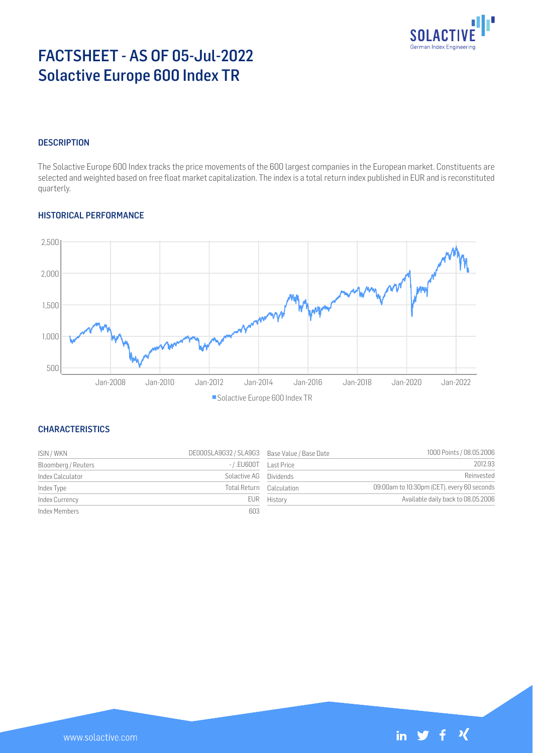

# FACTSHEET - AS OF 05-Jul-2022 Solactive Europe 600 Index TR

# **DESCRIPTION**

The Solactive Europe 600 Index tracks the price movements of the 600 largest companies in the European market. Constituents are selected and weighted based on free float market capitalization. The index is a total return index published in EUR and is reconstituted quarterly.

## HISTORICAL PERFORMANCE



### **CHARACTERISTICS**

| ISIN / WKN          | DE000SLA9G32 / SLA9G3 Base Value / Base Date |                          | 1000 Points / 08.05.2006                   |
|---------------------|----------------------------------------------|--------------------------|--------------------------------------------|
| Bloomberg / Reuters | -/.EU600T Last Price                         |                          | 2012.93                                    |
| Index Calculator    | Solactive AG Dividends                       |                          | Reinvested                                 |
| Index Type          |                                              | Total Return Calculation | 09:00am to 10:30pm (CET), every 60 seconds |
| Index Currency      |                                              | EUR History              | Available daily back to 08.05.2006         |
| Index Members       | 603                                          |                          |                                            |

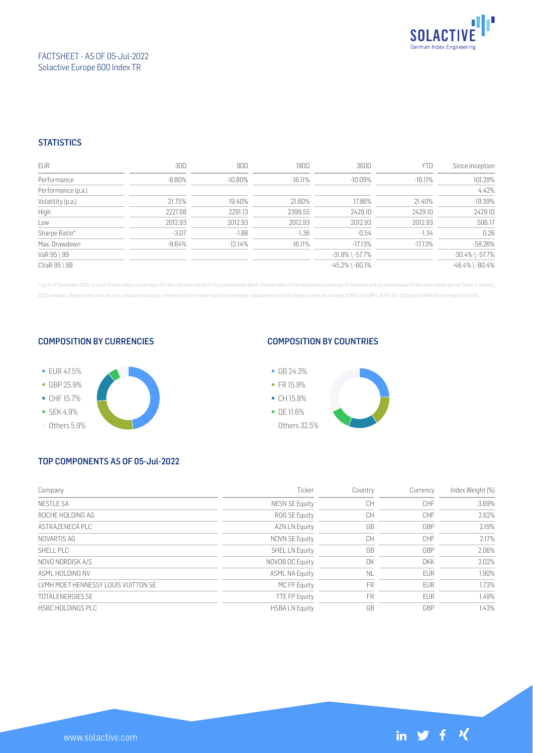

## FACTSHEET - AS OF 05-Jul-2022 Solactive Europe 600 Index TR

## **STATISTICS**

| <b>EUR</b>         | 30D       | 90D        | 180D       | 360D                  | <b>YTD</b> | Since Inception       |
|--------------------|-----------|------------|------------|-----------------------|------------|-----------------------|
| Performance        | $-8.80\%$ | $-10.80\%$ | $-16.11\%$ | $-10.09\%$            | $-16.11\%$ | 101.29%               |
| Performance (p.a.) |           |            |            |                       |            | 4.42%                 |
| Volatility (p.a.)  | 21.75%    | 19.40%     | 21.60%     | 17.86%                | 21.40%     | 19.39%                |
| High               | 2227.68   | 2291.13    | 2399.55    | 2429.10               | 2429.10    | 2429.10               |
| Low                | 2012.93   | 2012.93    | 2012.93    | 2012.93               | 2012.93    | 506.17                |
| Sharpe Ratio*      | $-3.07$   | $-1.88$    | $-1.36$    | $-0.54$               | $-1.34$    | 0.26                  |
| Max. Drawdown      | $-9.64\%$ | $-12.14%$  | $-16.11\%$ | $-17.13%$             | $-17.13%$  | $-58.26%$             |
| VaR 95 \ 99        |           |            |            | $-31.8\%$ \ $-57.7\%$ |            | $-30.4\%$ \ $-57.7\%$ |
| CVaR 95 \ 99       |           |            |            | $-45.2\%$ \ $-60.1\%$ |            | $-48.4\%$ \ $-80.4\%$ |

\* Up to 31 December 2021, ex-post Sharpe ratios use as input for the risk free rate term the London Inter-Bank Offered rates in the respective currencies of the index and at a term equal to the observation period. From 3 J 2022 onwards, Sharpe ratios will be / are calculated using as reference risk free rate input the overnight replacement rate for these currencies, namely SONIA (for GBP), SOFR (for USD) and EURIBOR Overnight (for EUR).

#### COMPOSITION BY CURRENCIES



## COMPOSITION BY COUNTRIES



# TOP COMPONENTS AS OF 05-Jul-2022

| Company                             | Ticker                | Country   | Currency   | Index Weight (%) |
|-------------------------------------|-----------------------|-----------|------------|------------------|
| <b>NESTLE SA</b>                    | <b>NESN SE Equity</b> | CH        | CHF        | 3.69%            |
| ROCHE HOLDING AG                    | ROG SE Equity         | CH        | CHF        | 2.62%            |
| ASTRAZENECA PLC                     | <b>AZN LN Equity</b>  | GB        | GBP        | 2.19%            |
| NOVARTIS AG                         | NOVN SE Equity        | CH        | CHF        | 2.17%            |
| SHELL PLC                           | SHEL LN Equity        | GB        | GBP        | 2.06%            |
| NOVO NORDISK A/S                    | NOVOB DC Equity       | DK        | <b>DKK</b> | 2.02%            |
| ASMI HOI DING NV                    | <b>ASML NA Equity</b> | <b>NL</b> | <b>EUR</b> | 1.90%            |
| LVMH MOET HENNESSY LOUIS VUITTON SE | MC FP Equity          | <b>FR</b> | <b>EUR</b> | 1.73%            |
| <b>TOTAL ENERGIES SE</b>            | <b>TTE FP Equity</b>  | <b>FR</b> | <b>EUR</b> | 1.49%            |
| HSBC HOLDINGS PLC                   | <b>HSBALN</b> Equity  | GB        | GBP        | 1.43%            |